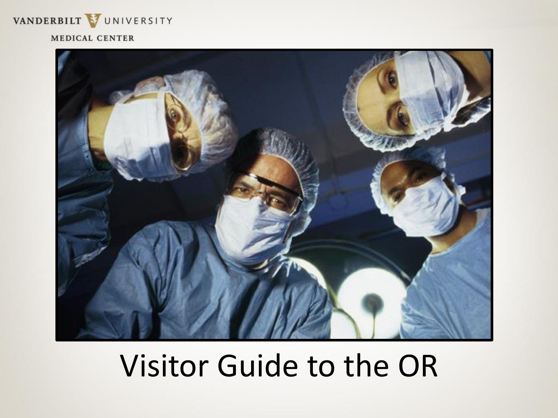

#### MEDICAL CENTER



### Visitor Guide to the OR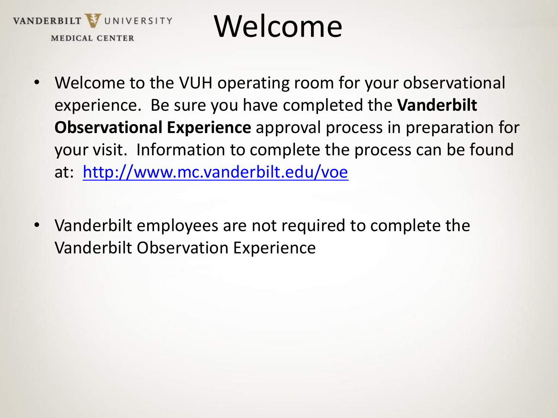

### Welcome

- Welcome to the VUH operating room for your observational experience. Be sure you have completed the **Vanderbilt Observational Experience** approval process in preparation for your visit. Information to complete the process can be found at: <http://www.mc.vanderbilt.edu/voe>
- Vanderbilt employees are not required to complete the Vanderbilt Observation Experience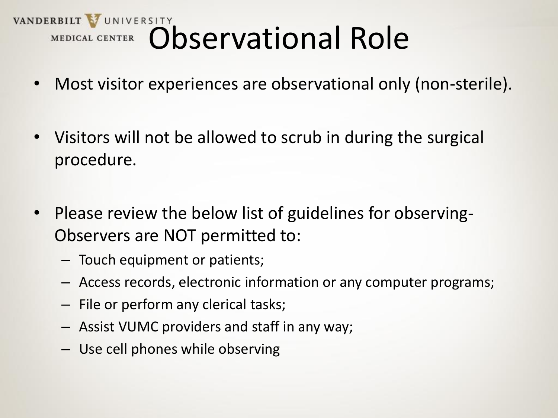# VANDERBILT VUNIVERSITY<br>MEDICAL CENTER Observational Role

- Most visitor experiences are observational only (non-sterile).
- Visitors will not be allowed to scrub in during the surgical procedure.
- Please review the below list of guidelines for observing-Observers are NOT permitted to:
	- Touch equipment or patients;
	- Access records, electronic information or any computer programs;
	- File or perform any clerical tasks;
	- Assist VUMC providers and staff in any way;
	- Use cell phones while observing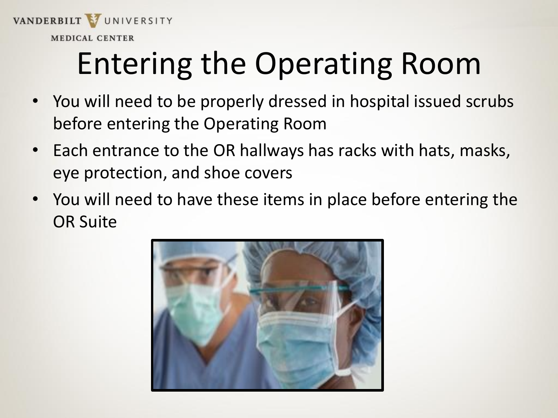

### Entering the Operating Room

- You will need to be properly dressed in hospital issued scrubs before entering the Operating Room
- Each entrance to the OR hallways has racks with hats, masks, eye protection, and shoe covers
- You will need to have these items in place before entering the OR Suite

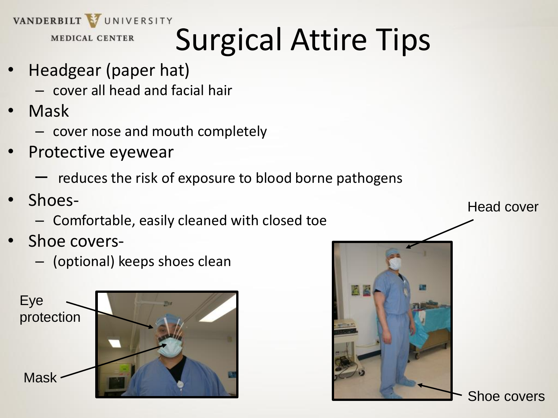VANDERBILT VUNIVERSITY

**MEDICAL CENTER** 

## Surgical Attire Tips

- Headgear (paper hat)
	- cover all head and facial hair
- Mask
	- cover nose and mouth completely
- Protective eyewear
	- reduces the risk of exposure to blood borne pathogens
- Shoes-
	- Comfortable, easily cleaned with closed toe
- Shoe covers-
	- (optional) keeps shoes clean





Head cover

Shoe covers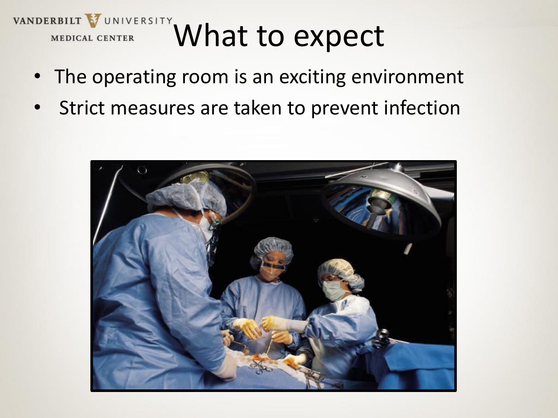### VANDERBILT VUNIVERSITY What to expect **MEDICAL CENTER**

- The operating room is an exciting environment
- Strict measures are taken to prevent infection

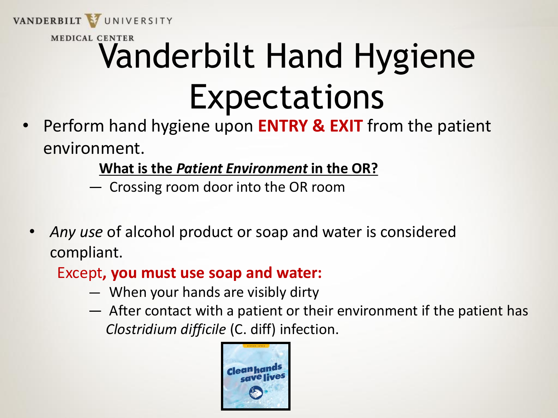

## MEDICAL CENTER<br>Vanderbilt Hand Hygiene Expectations

• Perform hand hygiene upon **ENTRY & EXIT** from the patient environment.

#### **What is the** *Patient Environment* **in the OR?**

- ― Crossing room door into the OR room
- *Any use* of alcohol product or soap and water is considered compliant.

#### Except**, you must use soap and water:**

- ― When your hands are visibly dirty
- ― After contact with a patient or their environment if the patient has *Clostridium difficile* (C. diff) infection.

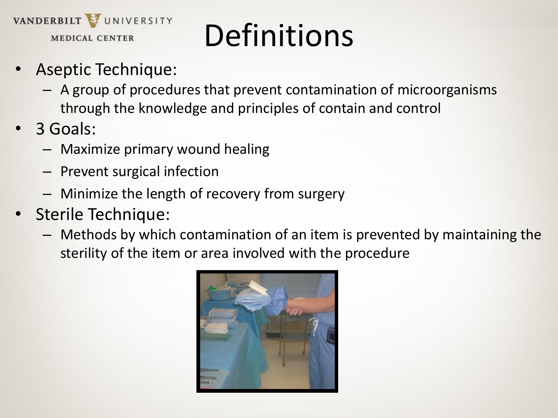

## Definitions

- Aseptic Technique:
	- A group of procedures that prevent contamination of microorganisms through the knowledge and principles of contain and control
- 3 Goals:
	- Maximize primary wound healing
	- Prevent surgical infection
	- Minimize the length of recovery from surgery
- Sterile Technique:
	- Methods by which contamination of an item is prevented by maintaining the sterility of the item or area involved with the procedure

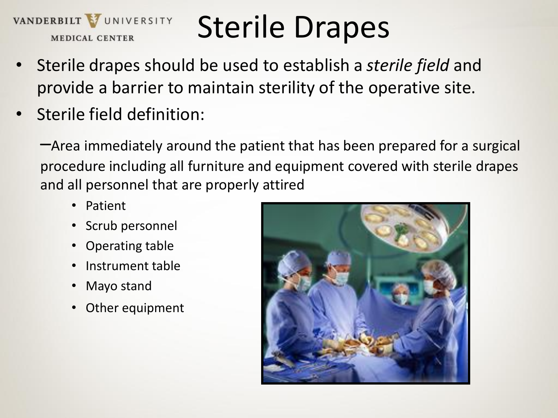

### Sterile Drapes

- Sterile drapes should be used to establish a *sterile field* and provide a barrier to maintain sterility of the operative site.
- Sterile field definition:

–Area immediately around the patient that has been prepared for a surgical procedure including all furniture and equipment covered with sterile drapes and all personnel that are properly attired

- Patient
- Scrub personnel
- Operating table
- Instrument table
- Mayo stand
- Other equipment

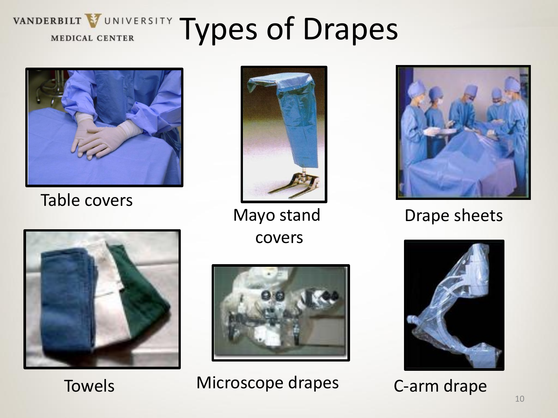## *MEDICAL CENTER TYPES Of Drapes*



Table covers



covers





Towels Microscope drapes C-arm drape



#### Mayo stand Drape sheets

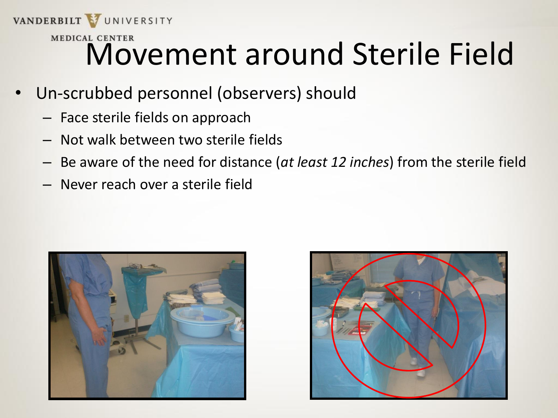### VANDERBILT VUNIVERSITY MEDICAL CENTER<br>Movement around Sterile Field

- Un-scrubbed personnel (observers) should
	- Face sterile fields on approach
	- Not walk between two sterile fields
	- Be aware of the need for distance (*at least 12 inches*) from the sterile field
	- Never reach over a sterile field



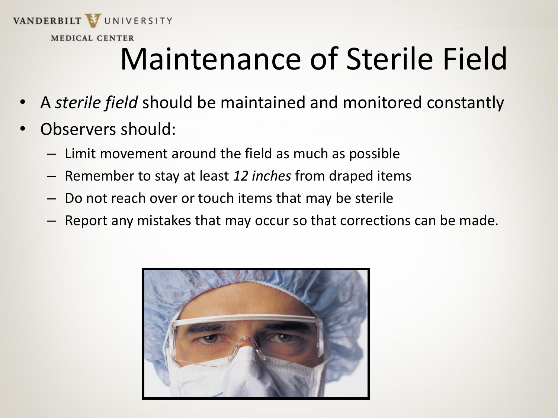

**MEDICAL CENTER** 

## Maintenance of Sterile Field

- A *sterile field* should be maintained and monitored constantly
- Observers should:
	- Limit movement around the field as much as possible
	- Remember to stay at least *12 inches* from draped items
	- Do not reach over or touch items that may be sterile
	- Report any mistakes that may occur so that corrections can be made.